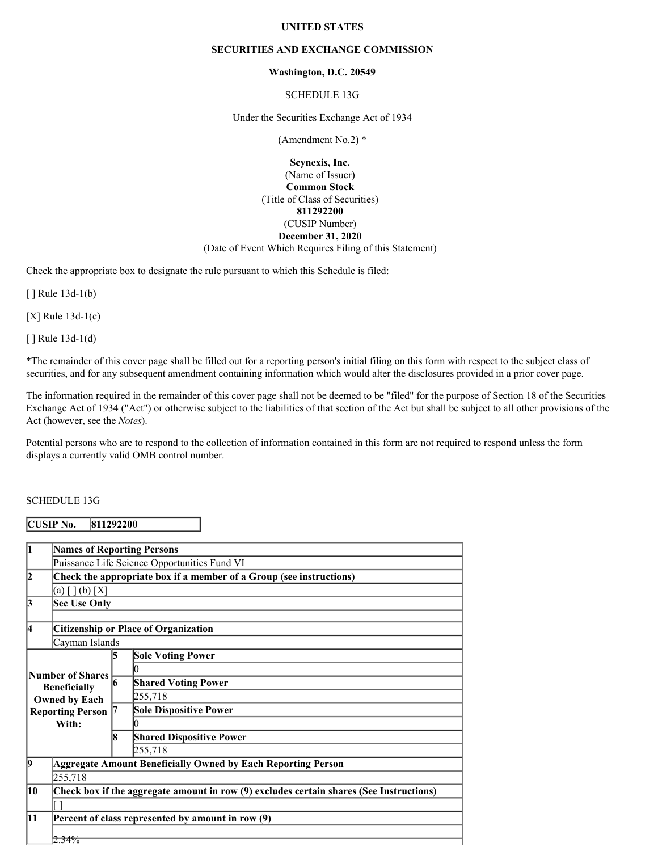#### **UNITED STATES**

#### **SECURITIES AND EXCHANGE COMMISSION**

#### **Washington, D.C. 20549**

SCHEDULE 13G

Under the Securities Exchange Act of 1934

(Amendment No.2) \*

**Scynexis, Inc.** (Name of Issuer) **Common Stock** (Title of Class of Securities) **811292200** (CUSIP Number) **December 31, 2020** (Date of Event Which Requires Filing of this Statement)

Check the appropriate box to designate the rule pursuant to which this Schedule is filed:

[ ] Rule 13d-1(b)

[X] Rule 13d-1(c)

[ ] Rule 13d-1(d)

\*The remainder of this cover page shall be filled out for a reporting person's initial filing on this form with respect to the subject class of securities, and for any subsequent amendment containing information which would alter the disclosures provided in a prior cover page.

The information required in the remainder of this cover page shall not be deemed to be "filed" for the purpose of Section 18 of the Securities Exchange Act of 1934 ("Act") or otherwise subject to the liabilities of that section of the Act but shall be subject to all other provisions of the Act (however, see the *Notes*).

Potential persons who are to respond to the collection of information contained in this form are not required to respond unless the form displays a currently valid OMB control number.

# SCHEDULE 13G

#### **CUSIP No. 811292200**

| 1                                            | <b>Names of Reporting Persons</b>                                                       |                                             |                                 |  |  |  |
|----------------------------------------------|-----------------------------------------------------------------------------------------|---------------------------------------------|---------------------------------|--|--|--|
| Puissance Life Science Opportunities Fund VI |                                                                                         |                                             |                                 |  |  |  |
| 2                                            | Check the appropriate box if a member of a Group (see instructions)                     |                                             |                                 |  |  |  |
|                                              | (a) $[ ] (b) [X]$                                                                       |                                             |                                 |  |  |  |
| 3                                            | <b>Sec Use Only</b>                                                                     |                                             |                                 |  |  |  |
|                                              |                                                                                         |                                             |                                 |  |  |  |
| 4                                            |                                                                                         | <b>Citizenship or Place of Organization</b> |                                 |  |  |  |
| Cayman Islands                               |                                                                                         |                                             |                                 |  |  |  |
|                                              |                                                                                         | 15                                          | <b>Sole Voting Power</b>        |  |  |  |
| <b>Number of Shares</b>                      |                                                                                         |                                             |                                 |  |  |  |
|                                              | 16<br><b>Beneficially</b><br><b>Owned by Each</b><br><b>Reporting Person</b>            |                                             | <b>Shared Voting Power</b>      |  |  |  |
|                                              |                                                                                         |                                             | 255,718                         |  |  |  |
|                                              |                                                                                         |                                             | <b>Sole Dispositive Power</b>   |  |  |  |
|                                              | With:                                                                                   |                                             |                                 |  |  |  |
|                                              |                                                                                         | 18                                          | <b>Shared Dispositive Power</b> |  |  |  |
|                                              |                                                                                         |                                             | 255,718                         |  |  |  |
| 19                                           | <b>Aggregate Amount Beneficially Owned by Each Reporting Person</b>                     |                                             |                                 |  |  |  |
|                                              | 255,718                                                                                 |                                             |                                 |  |  |  |
| 10                                           | Check box if the aggregate amount in row (9) excludes certain shares (See Instructions) |                                             |                                 |  |  |  |
|                                              |                                                                                         |                                             |                                 |  |  |  |
| 11                                           | Percent of class represented by amount in row (9)                                       |                                             |                                 |  |  |  |
|                                              |                                                                                         |                                             |                                 |  |  |  |
|                                              | $2.34\%$                                                                                |                                             |                                 |  |  |  |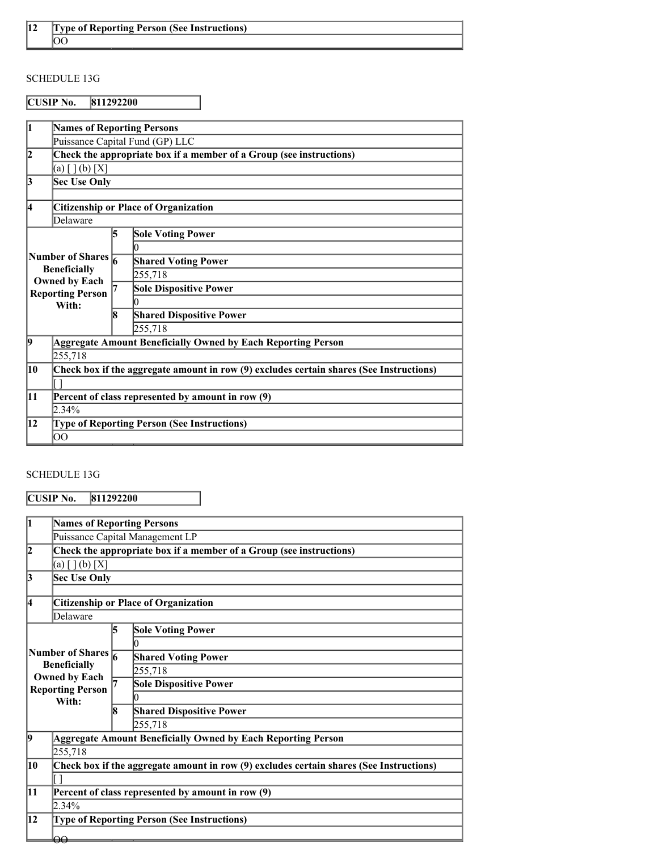# SCHEDULE 13G

# **CUSIP No. 811292200**

|                                            | <b>Names of Reporting Persons</b>                                               |    |                                                                                         |  |  |  |
|--------------------------------------------|---------------------------------------------------------------------------------|----|-----------------------------------------------------------------------------------------|--|--|--|
|                                            | Puissance Capital Fund (GP) LLC                                                 |    |                                                                                         |  |  |  |
| 12                                         | Check the appropriate box if a member of a Group (see instructions)             |    |                                                                                         |  |  |  |
|                                            | (a) $[ ] (b) [X]$                                                               |    |                                                                                         |  |  |  |
| 3<br><b>Sec Use Only</b>                   |                                                                                 |    |                                                                                         |  |  |  |
|                                            |                                                                                 |    |                                                                                         |  |  |  |
| Citizenship or Place of Organization<br>14 |                                                                                 |    |                                                                                         |  |  |  |
|                                            | Delaware                                                                        |    |                                                                                         |  |  |  |
|                                            |                                                                                 | 5  | <b>Sole Voting Power</b>                                                                |  |  |  |
|                                            |                                                                                 |    | 0                                                                                       |  |  |  |
| Number of Shares $\frac{1}{6}$             |                                                                                 |    | <b>Shared Voting Power</b>                                                              |  |  |  |
|                                            | <b>Beneficially</b><br><b>Owned by Each</b><br><b>Reporting Person</b><br>With: |    | 255,718                                                                                 |  |  |  |
|                                            |                                                                                 |    | <b>Sole Dispositive Power</b>                                                           |  |  |  |
|                                            |                                                                                 |    | 0                                                                                       |  |  |  |
|                                            |                                                                                 | 18 | <b>Shared Dispositive Power</b>                                                         |  |  |  |
|                                            |                                                                                 |    | 255,718                                                                                 |  |  |  |
| 9                                          | <b>Aggregate Amount Beneficially Owned by Each Reporting Person</b>             |    |                                                                                         |  |  |  |
|                                            | 255,718                                                                         |    |                                                                                         |  |  |  |
| 10                                         |                                                                                 |    | Check box if the aggregate amount in row (9) excludes certain shares (See Instructions) |  |  |  |
|                                            |                                                                                 |    |                                                                                         |  |  |  |
| 11                                         | Percent of class represented by amount in row (9)                               |    |                                                                                         |  |  |  |
|                                            | $2.34\%$                                                                        |    |                                                                                         |  |  |  |
| 12                                         | <b>Type of Reporting Person (See Instructions)</b>                              |    |                                                                                         |  |  |  |
|                                            | $\overline{O}O$                                                                 |    |                                                                                         |  |  |  |

# SCHEDULE 13G

**CUSIP No. 811292200**

| Puissance Capital Management LP                                     |                                                                                         |  |  |  |  |  |
|---------------------------------------------------------------------|-----------------------------------------------------------------------------------------|--|--|--|--|--|
| Check the appropriate box if a member of a Group (see instructions) |                                                                                         |  |  |  |  |  |
| (a) $[ ] (b) [X]$                                                   |                                                                                         |  |  |  |  |  |
| 13<br><b>Sec Use Only</b>                                           |                                                                                         |  |  |  |  |  |
|                                                                     |                                                                                         |  |  |  |  |  |
| <b>Citizenship or Place of Organization</b>                         |                                                                                         |  |  |  |  |  |
| Delaware                                                            |                                                                                         |  |  |  |  |  |
| 15                                                                  | <b>Sole Voting Power</b>                                                                |  |  |  |  |  |
|                                                                     |                                                                                         |  |  |  |  |  |
|                                                                     | <b>Shared Voting Power</b>                                                              |  |  |  |  |  |
|                                                                     | 255,718                                                                                 |  |  |  |  |  |
|                                                                     | <b>Sole Dispositive Power</b>                                                           |  |  |  |  |  |
|                                                                     |                                                                                         |  |  |  |  |  |
| R                                                                   | <b>Shared Dispositive Power</b>                                                         |  |  |  |  |  |
|                                                                     | 255,718                                                                                 |  |  |  |  |  |
|                                                                     | Aggregate Amount Beneficially Owned by Each Reporting Person                            |  |  |  |  |  |
| 255,718                                                             |                                                                                         |  |  |  |  |  |
|                                                                     | Check box if the aggregate amount in row (9) excludes certain shares (See Instructions) |  |  |  |  |  |
|                                                                     |                                                                                         |  |  |  |  |  |
| $ 11\rangle$<br>Percent of class represented by amount in row (9)   |                                                                                         |  |  |  |  |  |
|                                                                     |                                                                                         |  |  |  |  |  |
| 12<br><b>Type of Reporting Person (See Instructions)</b>            |                                                                                         |  |  |  |  |  |
|                                                                     |                                                                                         |  |  |  |  |  |
|                                                                     | Number of Shares $\frac{1}{6}$<br><b>Reporting Person</b>                               |  |  |  |  |  |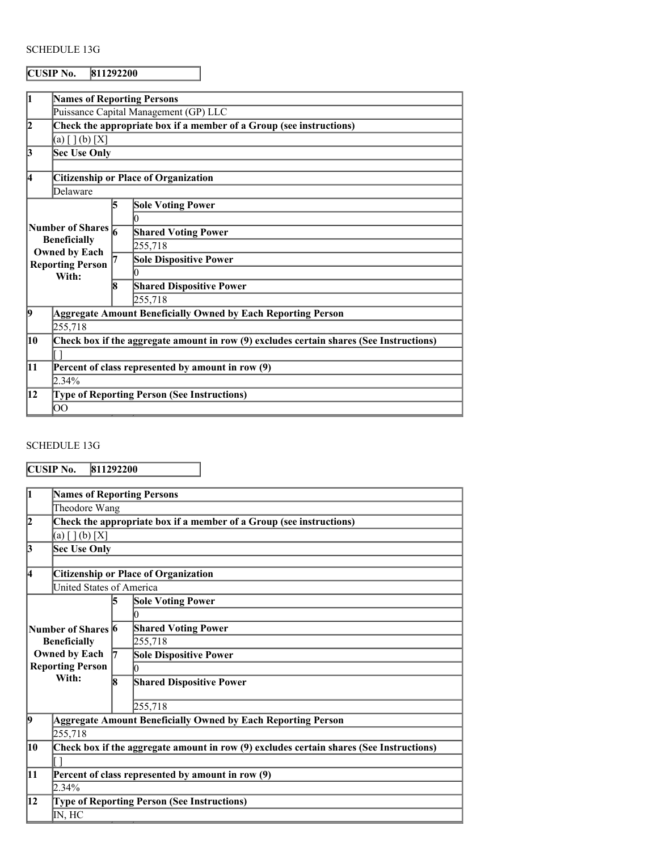# SCHEDULE 13G

# **CUSIP No. 811292200**

| 1              | <b>Names of Reporting Persons</b>                                                                                       |                                             |                                                                                         |  |  |  |
|----------------|-------------------------------------------------------------------------------------------------------------------------|---------------------------------------------|-----------------------------------------------------------------------------------------|--|--|--|
|                | Puissance Capital Management (GP) LLC                                                                                   |                                             |                                                                                         |  |  |  |
| $\overline{2}$ | Check the appropriate box if a member of a Group (see instructions)                                                     |                                             |                                                                                         |  |  |  |
|                | (a) $[ ] (b) [X]$                                                                                                       |                                             |                                                                                         |  |  |  |
| 3              | Sec Use Only                                                                                                            |                                             |                                                                                         |  |  |  |
|                |                                                                                                                         |                                             |                                                                                         |  |  |  |
| 4              |                                                                                                                         | <b>Citizenship or Place of Organization</b> |                                                                                         |  |  |  |
|                | Delaware                                                                                                                |                                             |                                                                                         |  |  |  |
|                |                                                                                                                         | 15                                          | <b>Sole Voting Power</b>                                                                |  |  |  |
|                | Number of Shares $\frac{1}{6}$<br><b>Beneficially</b><br><b>Owned by Each</b><br><b>Reporting Person</b><br>With:<br>R) |                                             | 0                                                                                       |  |  |  |
|                |                                                                                                                         |                                             | <b>Shared Voting Power</b>                                                              |  |  |  |
|                |                                                                                                                         |                                             | 255,718                                                                                 |  |  |  |
|                |                                                                                                                         |                                             | <b>Sole Dispositive Power</b>                                                           |  |  |  |
|                |                                                                                                                         |                                             |                                                                                         |  |  |  |
|                |                                                                                                                         |                                             | <b>Shared Dispositive Power</b>                                                         |  |  |  |
|                |                                                                                                                         |                                             | 255,718                                                                                 |  |  |  |
| $\overline{9}$ | Aggregate Amount Beneficially Owned by Each Reporting Person                                                            |                                             |                                                                                         |  |  |  |
|                | 255,718                                                                                                                 |                                             |                                                                                         |  |  |  |
| 10             |                                                                                                                         |                                             | Check box if the aggregate amount in row (9) excludes certain shares (See Instructions) |  |  |  |
|                |                                                                                                                         |                                             |                                                                                         |  |  |  |
| 11             | Percent of class represented by amount in row (9)                                                                       |                                             |                                                                                         |  |  |  |
|                | 2.34%                                                                                                                   |                                             |                                                                                         |  |  |  |
| 12             | <b>Type of Reporting Person (See Instructions)</b>                                                                      |                                             |                                                                                         |  |  |  |
|                | OO                                                                                                                      |                                             |                                                                                         |  |  |  |

# SCHEDULE 13G

**CUSIP No. 811292200**

| l1                                                       | <b>Names of Reporting Persons</b>                                   |    |                                                                                         |  |  |  |
|----------------------------------------------------------|---------------------------------------------------------------------|----|-----------------------------------------------------------------------------------------|--|--|--|
| Theodore Wang                                            |                                                                     |    |                                                                                         |  |  |  |
| $\overline{2}$                                           | Check the appropriate box if a member of a Group (see instructions) |    |                                                                                         |  |  |  |
|                                                          | (a) $[ ] (b) [X]$                                                   |    |                                                                                         |  |  |  |
| $\overline{3}$                                           | Sec Use Only                                                        |    |                                                                                         |  |  |  |
|                                                          |                                                                     |    |                                                                                         |  |  |  |
| 14                                                       | <b>Citizenship or Place of Organization</b>                         |    |                                                                                         |  |  |  |
| <b>United States of America</b>                          |                                                                     |    |                                                                                         |  |  |  |
|                                                          |                                                                     | 15 | <b>Sole Voting Power</b>                                                                |  |  |  |
|                                                          |                                                                     |    | 0                                                                                       |  |  |  |
| Number of Shares 6                                       |                                                                     |    | <b>Shared Voting Power</b>                                                              |  |  |  |
|                                                          | <b>Beneficially</b>                                                 |    | 255,718                                                                                 |  |  |  |
|                                                          | <b>Owned by Each</b>                                                | 17 | <b>Sole Dispositive Power</b>                                                           |  |  |  |
|                                                          | <b>Reporting Person</b>                                             |    | በ                                                                                       |  |  |  |
|                                                          | With:                                                               | 8  | <b>Shared Dispositive Power</b>                                                         |  |  |  |
|                                                          |                                                                     |    |                                                                                         |  |  |  |
|                                                          |                                                                     |    | 255,718                                                                                 |  |  |  |
| $ 9\rangle$                                              |                                                                     |    | <b>Aggregate Amount Beneficially Owned by Each Reporting Person</b>                     |  |  |  |
|                                                          | 255,718                                                             |    |                                                                                         |  |  |  |
| 10                                                       |                                                                     |    | Check box if the aggregate amount in row (9) excludes certain shares (See Instructions) |  |  |  |
|                                                          |                                                                     |    |                                                                                         |  |  |  |
| 11                                                       | Percent of class represented by amount in row (9)                   |    |                                                                                         |  |  |  |
|                                                          | 2.34%                                                               |    |                                                                                         |  |  |  |
| 12<br><b>Type of Reporting Person (See Instructions)</b> |                                                                     |    |                                                                                         |  |  |  |
|                                                          | IN, HC                                                              |    |                                                                                         |  |  |  |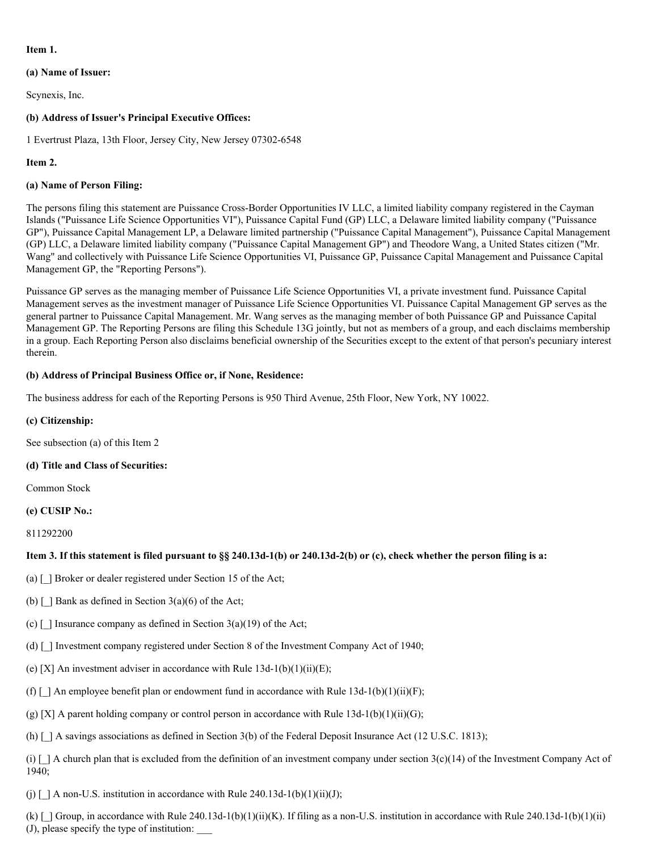# **Item 1.**

# **(a) Name of Issuer:**

Scynexis, Inc.

# **(b) Address of Issuer's Principal Executive Offices:**

1 Evertrust Plaza, 13th Floor, Jersey City, New Jersey 07302-6548

### **Item 2.**

#### **(a) Name of Person Filing:**

The persons filing this statement are Puissance Cross-Border Opportunities IV LLC, a limited liability company registered in the Cayman Islands ("Puissance Life Science Opportunities VI"), Puissance Capital Fund (GP) LLC, a Delaware limited liability company ("Puissance GP"), Puissance Capital Management LP, a Delaware limited partnership ("Puissance Capital Management"), Puissance Capital Management (GP) LLC, a Delaware limited liability company ("Puissance Capital Management GP") and Theodore Wang, a United States citizen ("Mr. Wang" and collectively with Puissance Life Science Opportunities VI, Puissance GP, Puissance Capital Management and Puissance Capital Management GP, the "Reporting Persons").

Puissance GP serves as the managing member of Puissance Life Science Opportunities VI, a private investment fund. Puissance Capital Management serves as the investment manager of Puissance Life Science Opportunities VI. Puissance Capital Management GP serves as the general partner to Puissance Capital Management. Mr. Wang serves as the managing member of both Puissance GP and Puissance Capital Management GP. The Reporting Persons are filing this Schedule 13G jointly, but not as members of a group, and each disclaims membership in a group. Each Reporting Person also disclaims beneficial ownership of the Securities except to the extent of that person's pecuniary interest therein.

# **(b) Address of Principal Business Office or, if None, Residence:**

The business address for each of the Reporting Persons is 950 Third Avenue, 25th Floor, New York, NY 10022.

#### **(c) Citizenship:**

See subsection (a) of this Item 2

### **(d) Title and Class of Securities:**

Common Stock

#### **(e) CUSIP No.:**

811292200

# Item 3. If this statement is filed pursuant to §§ 240.13d-1(b) or 240.13d-2(b) or (c), check whether the person filing is a:

(a)  $\lceil$  ] Broker or dealer registered under Section 15 of the Act;

- (b)  $\lceil$  ] Bank as defined in Section 3(a)(6) of the Act;
- (c)  $\lceil \cdot \rceil$  Insurance company as defined in Section 3(a)(19) of the Act;
- (d) [\_] Investment company registered under Section 8 of the Investment Company Act of 1940;
- (e) [X] An investment adviser in accordance with Rule  $13d-1(b)(1)(ii)(E)$ ;
- (f)  $\lceil \int$  An employee benefit plan or endowment fund in accordance with Rule 13d-1(b)(1)(ii)(F);
- (g) [X] A parent holding company or control person in accordance with Rule  $13d-1(b)(1)(ii)(G);$
- (h)  $\lceil$  | A savings associations as defined in Section 3(b) of the Federal Deposit Insurance Act (12 U.S.C. 1813);

(i)  $\lceil \cdot \rceil$  A church plan that is excluded from the definition of an investment company under section 3(c)(14) of the Investment Company Act of 1940;

(j)  $\lceil$  | A non-U.S. institution in accordance with Rule 240.13d-1(b)(1)(ii)(J);

(k)  $\lceil$  ] Group, in accordance with Rule 240.13d-1(b)(1)(ii)(K). If filing as a non-U.S. institution in accordance with Rule 240.13d-1(b)(1)(ii) (J), please specify the type of institution: \_\_\_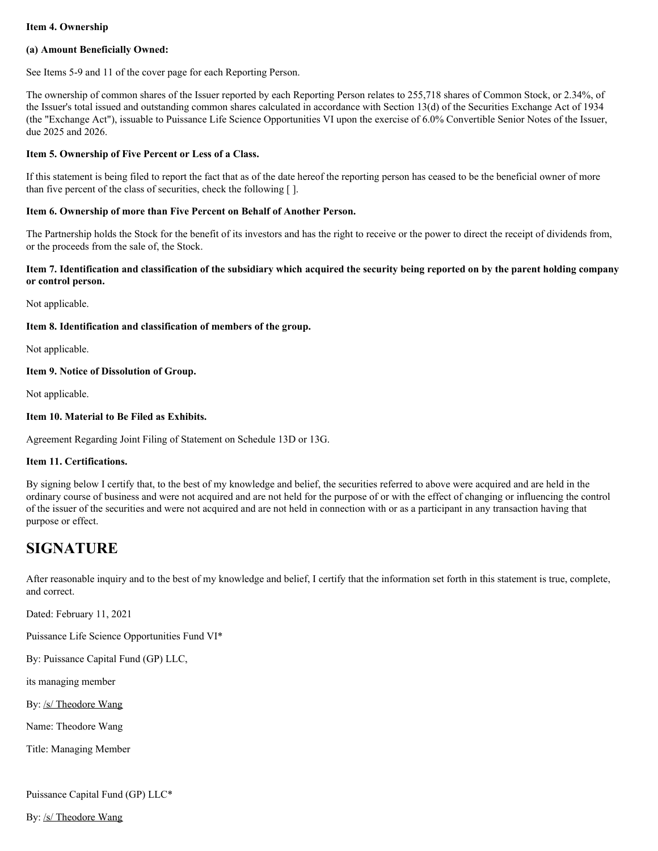### **Item 4. Ownership**

#### **(a) Amount Beneficially Owned:**

See Items 5-9 and 11 of the cover page for each Reporting Person.

The ownership of common shares of the Issuer reported by each Reporting Person relates to 255,718 shares of Common Stock, or 2.34%, of the Issuer's total issued and outstanding common shares calculated in accordance with Section 13(d) of the Securities Exchange Act of 1934 (the "Exchange Act"), issuable to Puissance Life Science Opportunities VI upon the exercise of 6.0% Convertible Senior Notes of the Issuer, due 2025 and 2026.

### **Item 5. Ownership of Five Percent or Less of a Class.**

If this statement is being filed to report the fact that as of the date hereof the reporting person has ceased to be the beneficial owner of more than five percent of the class of securities, check the following [ ].

#### **Item 6. Ownership of more than Five Percent on Behalf of Another Person.**

The Partnership holds the Stock for the benefit of its investors and has the right to receive or the power to direct the receipt of dividends from, or the proceeds from the sale of, the Stock.

#### Item 7. Identification and classification of the subsidiary which acquired the security being reported on by the parent holding company **or control person.**

Not applicable.

#### **Item 8. Identification and classification of members of the group.**

Not applicable.

#### **Item 9. Notice of Dissolution of Group.**

Not applicable.

#### **Item 10. Material to Be Filed as Exhibits.**

Agreement Regarding Joint Filing of Statement on Schedule 13D or 13G.

#### **Item 11. Certifications.**

By signing below I certify that, to the best of my knowledge and belief, the securities referred to above were acquired and are held in the ordinary course of business and were not acquired and are not held for the purpose of or with the effect of changing or influencing the control of the issuer of the securities and were not acquired and are not held in connection with or as a participant in any transaction having that purpose or effect.

# **SIGNATURE**

After reasonable inquiry and to the best of my knowledge and belief, I certify that the information set forth in this statement is true, complete, and correct.

Dated: February 11, 2021

Puissance Life Science Opportunities Fund VI\*

By: Puissance Capital Fund (GP) LLC,

its managing member

By: /s/ Theodore Wang

Name: Theodore Wang

Title: Managing Member

Puissance Capital Fund (GP) LLC\*

By: /s/ Theodore Wang